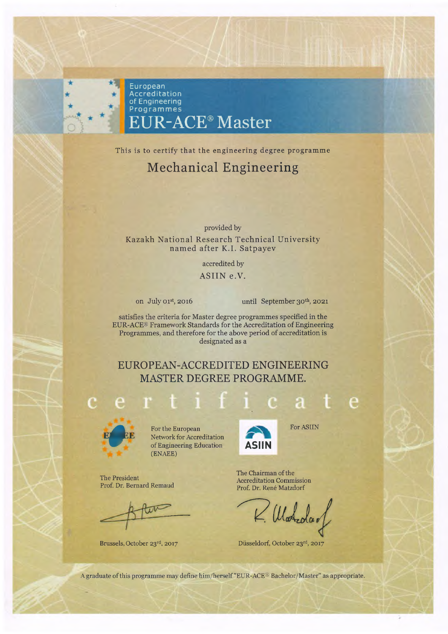

This is to certify that the engineering degree programme

## Mechanical Engineering

provided by Kazakh National Research Technical University named after K.I. Satpayev

accredited by

ASIIN e.V.

on July 01st, 2016 until September 30th, 2021

\_\_\_\_\_

satisfies the criteria for Master degree programmes specified in the EUR-ACE® Framework Standards for the Accreditation of Engineering Programmes, and therefore for the above period of accreditation is designated as a

EUROPEAN-ACCREDITED ENGINEERING MASTER DEGREE PROGRAMME.



The President

Prof. Dr. Bernard Remaud

 $\overline{\mathbb{R}}$ 

Brussels, October 23rd, 2017

**EPORTER EXECUTE EXECUTE:**<br>
For the European<br>
of Engineering Ed Network for Accreditation of Engineering Education (ENAEE)



For ASIIN

e

The Chairman of the Accreditation Commission Prof. Dr. Rene Matzdorf

 $\mathcal U$  at day

Düsseldorf, October 23rd, 2017

A graduate of this programme may define him/herself "EUR-ACE® Bachelor/Master" as appropriate.